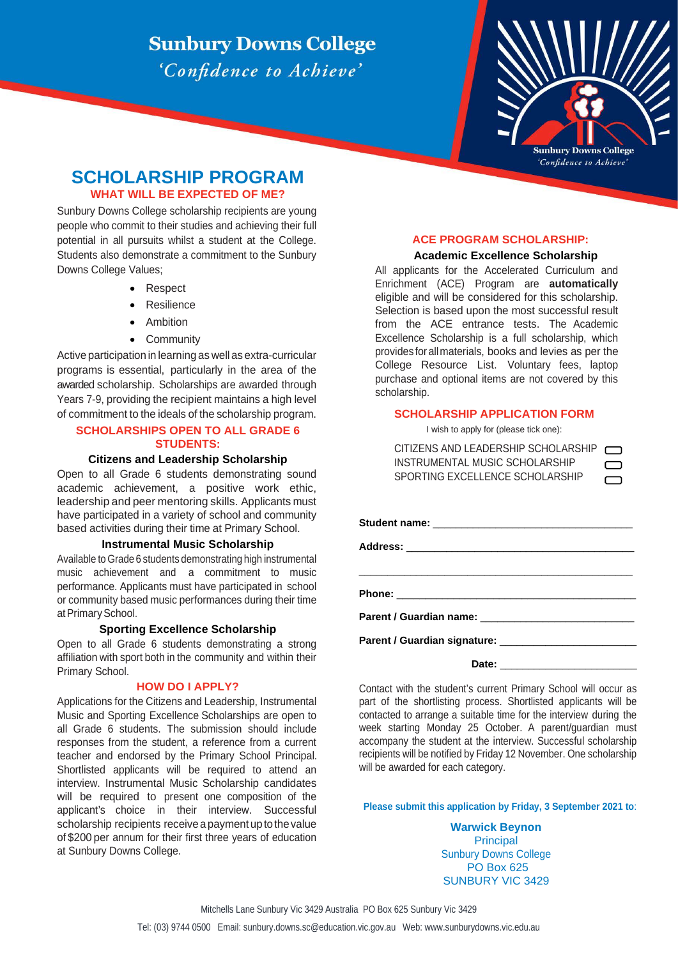## **Sunbury Downs College** 'Confidence to Achieve'



# **SCHOLARSHIP PROGRAM**

## **WHAT WILL BE EXPECTED OF ME?**

Sunbury Downs College scholarship recipients are young people who commit to their studies and achieving their full potential in all pursuits whilst a student at the College. Students also demonstrate a commitment to the Sunbury Downs College Values;

- Respect
- Resilience
- Ambition
- Community

Active participation in learning as well as extra-curricular programs is essential, particularly in the area of the awarded scholarship. Scholarships are awarded through Years 7-9, providing the recipient maintains a high level of commitment to the ideals of the scholarship program.

## **SCHOLARSHIPS OPEN TO ALL GRADE 6 STUDENTS:**

#### **Citizens and Leadership Scholarship**

Open to all Grade 6 students demonstrating sound academic achievement, a positive work ethic, leadership and peer mentoring skills. Applicants must have participated in a variety of school and community based activities during their time at Primary School.

#### **Instrumental Music Scholarship**

Available to Grade 6 students demonstrating high instrumental music achievement and a commitment to music performance. Applicants must have participated in school or community based music performances during their time at Primary School.

#### **Sporting Excellence Scholarship**

Open to all Grade 6 students demonstrating a strong affiliation with sport both in the community and within their Primary School.

#### **HOW DO I APPLY?**

Applications for the Citizens and Leadership, Instrumental Music and Sporting Excellence Scholarships are open to all Grade 6 students. The submission should include responses from the student, a reference from a current teacher and endorsed by the Primary School Principal. Shortlisted applicants will be required to attend an interview. Instrumental Music Scholarship candidates will be required to present one composition of the applicant's choice in their interview. Successful scholarship recipients receive a payment up to the value of \$200 per annum for their first three years of education at Sunbury Downs College.

## **ACE PROGRAM SCHOLARSHIP:**

#### **Academic Excellence Scholarship**

All applicants for the Accelerated Curriculum and Enrichment (ACE) Program are **automatically** eligible and will be considered for this scholarship. Selection is based upon the most successful result from the ACE entrance tests. The Academic Excellence Scholarship is a full scholarship, which provides for allmaterials, books and levies as per the College Resource List. Voluntary fees, laptop purchase and optional items are not covered by this scholarship.

#### **SCHOLARSHIP APPLICATION FORM**

I wish to apply for (please tick one):

CITIZENS AND LEADERSHIP SCHOLARSHIP INSTRUMENTAL MUSIC SCHOLARSHIP SPORTING EXCELLENCE SCHOLARSHIP

| <u> 1980 - Jan James James James James James James James James James James James James James James James James J</u> |
|----------------------------------------------------------------------------------------------------------------------|
|                                                                                                                      |
|                                                                                                                      |
|                                                                                                                      |
|                                                                                                                      |

Date:

Contact with the student's current Primary School will occur as part of the shortlisting process. Shortlisted applicants will be contacted to arrange a suitable time for the interview during the week starting Monday 25 October. A parent/guardian must accompany the student at the interview. Successful scholarship recipients will be notified by Friday 12 November. One scholarship will be awarded for each category.

**Please submit this application by Friday, 3 September 2021 to**:

**Warwick Beynon** Principal Sunbury Downs College PO Box 625 SUNBURY VIC 3429

Mitchells Lane Sunbury Vic 3429 Australia PO Box 625 Sunbury Vic 3429

Tel: (03) 9744 0500 Email: sunbury.downs.sc@education.vic.gov.au Web: www.sunburydowns.vic.edu.au